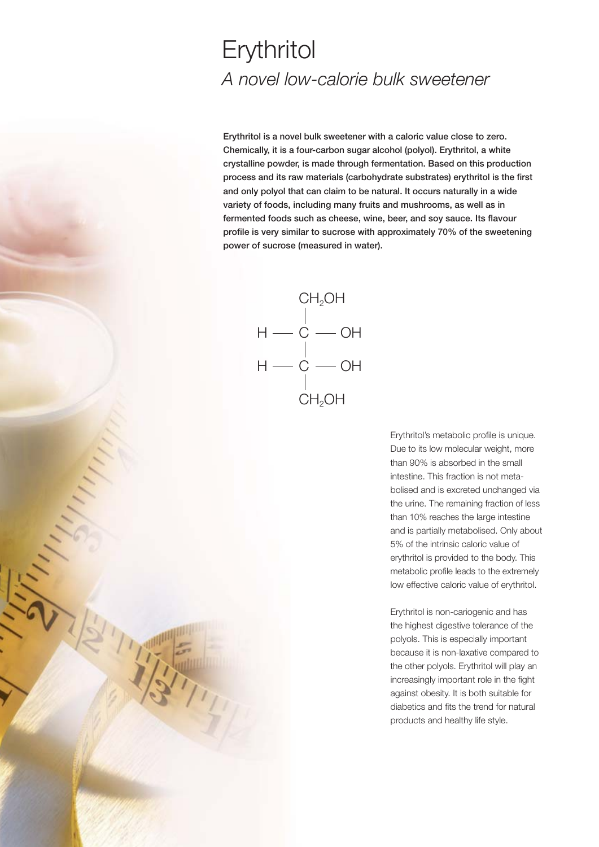## **Erythritol** *A novel low-calorie bulk sweetener*

**Erythritol is a novel bulk sweetener with a caloric value close to zero. Chemically, it is a four-carbon sugar alcohol (polyol). Erythritol, a white crystalline powder, is made through fermentation. Based on this production process and its raw materials (carbohydrate substrates) erythritol is the first and only polyol that can claim to be natural. It occurs naturally in a wide variety of foods, including many fruits and mushrooms, as well as in fermented foods such as cheese, wine, beer, and soy sauce. Its flavour profile is very similar to sucrose with approximately 70% of the sweetening power of sucrose (measured in water).**



1

Erythritol's metabolic profile is unique. Due to its low molecular weight, more than 90% is absorbed in the small intestine. This fraction is not metabolised and is excreted unchanged via the urine. The remaining fraction of less than 10% reaches the large intestine and is partially metabolised. Only about 5% of the intrinsic caloric value of erythritol is provided to the body. This metabolic profile leads to the extremely low effective caloric value of erythritol.

Erythritol is non-cariogenic and has the highest digestive tolerance of the polyols. This is especially important because it is non-laxative compared to the other polyols. Erythritol will play an increasingly important role in the fight against obesity. It is both suitable for diabetics and fits the trend for natural products and healthy life style.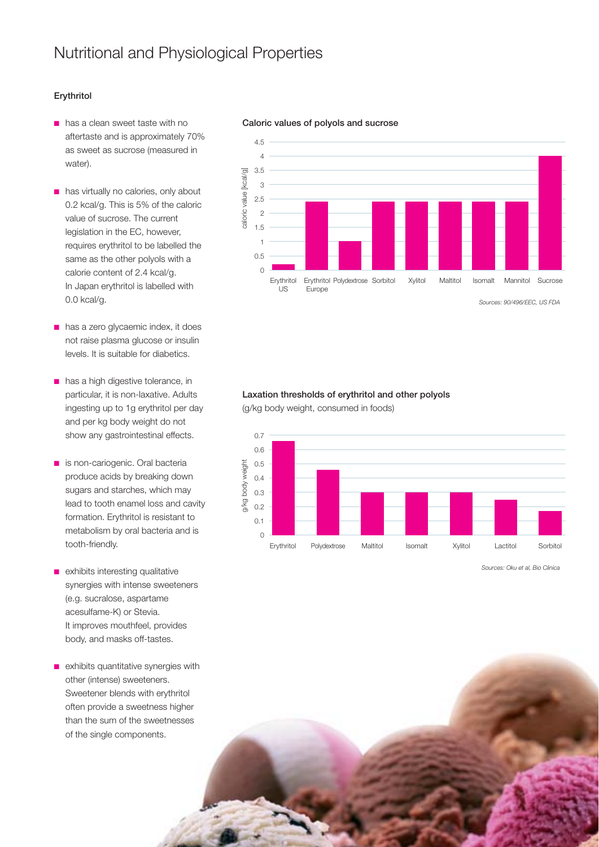## **Erythritol**

- has a clean sweet taste with no aftertaste and is approximately 70% as sweet as sucrose (measured in water).
- has virtually no calories, only about 0.2 kcal/g. This is 5% of the caloric value of sucrose. The current legislation in the EC, however, requires erythritol to be labelled the same as the other polyols with a calorie content of 2.4 kcal/g. In Japan erythritol is labelled with 0.0 kcal/g.
- has a zero glycaemic index, it does not raise plasma glucose or insulin levels. It is suitable for diabetics.
- has a high digestive tolerance, in particular, it is non-laxative. Adults ingesting up to 1g erythritol per day and per kg body weight do not show any gastrointestinal effects.
- is non-cariogenic. Oral bacteria produce acids by breaking down sugars and starches, which may lead to tooth enamel loss and cavity formation. Erythritol is resistant to metabolism by oral bacteria and is tooth-friendly.
- exhibits interesting qualitative synergies with intense sweeteners (e.g. sucralose, aspartame acesulfame-K) or Stevia. It improves mouthfeel, provides body, and masks off-tastes.
- exhibits quantitative synergies with other (intense) sweeteners. Sweetener blends with erythritol often provide a sweetness higher than the sum of the sweetnesses of the single components.

## **Caloric values of polyols and sucrose**



*Sources: 90/496/EEC, US FDA*

## **Laxation thresholds of erythritol and other polyols**

(g/kg body weight, consumed in foods)



*Sources: Oku et al, Bio Clinica*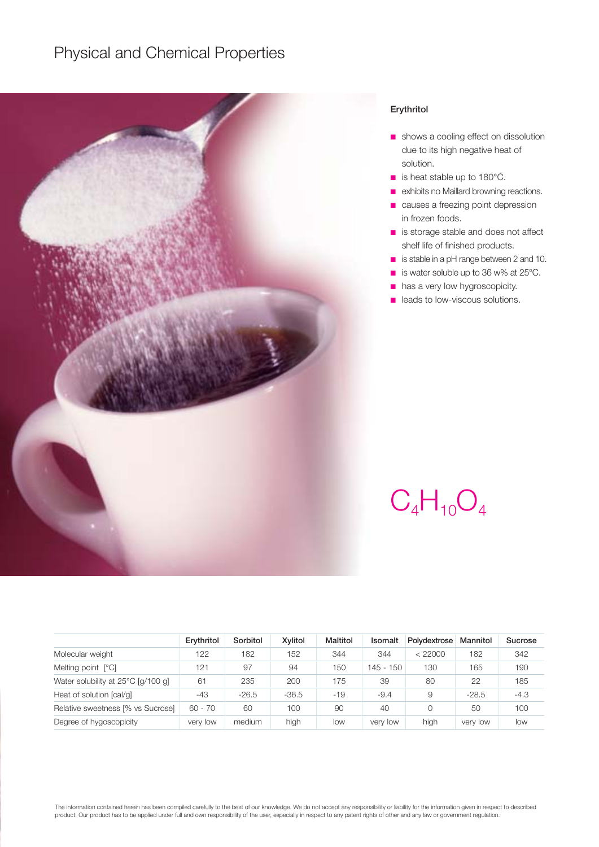## Physical and Chemical Properties



### **Erythritol**

- shows a cooling effect on dissolution due to its high negative heat of solution.
- is heat stable up to 180°C.
- exhibits no Maillard browning reactions.
- causes a freezing point depression in frozen foods.
- is storage stable and does not affect shelf life of finished products.
- is stable in a pH range between 2 and 10.
- is water soluble up to 36 w% at 25°C.
- has a very low hygroscopicity.
- leads to low-viscous solutions.

# $C_4H_{10}O_4$

|                                    | Erythritol | Sorbitol | Xylitol | Maltitol | <b>Isomalt</b> | Polydextrose | Mannitol | Sucrose |
|------------------------------------|------------|----------|---------|----------|----------------|--------------|----------|---------|
| Molecular weight                   | 122        | 182      | 152     | 344      | 344            | < 22000      | 182      | 342     |
| Melting point [°C]                 | 121        | 97       | 94      | 150      | $145 - 150$    | 130          | 165      | 190     |
| Water solubility at 25°C [q/100 q] | 61         | 235      | 200     | 175      | 39             | 80           | 22       | 185     |
| Heat of solution [cal/q]           | -43        | $-26.5$  | $-36.5$ | $-19$    | $-9.4$         | 9            | $-28.5$  | $-4.3$  |
| Relative sweetness [% vs Sucrose]  | $60 - 70$  | 60       | 100     | 90       | 40             | $\Omega$     | 50       | 100     |
| Degree of hygoscopicity            | very low   | medium   | high    | low      | very low       | high         | very low | low     |

The information contained herein has been compiled carefully to the best of our knowledge. We do not accept any responsibility or liability for the information given in respect to described product. Our product has to be applied under full and own responsibility of the user, especially in respect to any patent rights of other and any law or government regulation.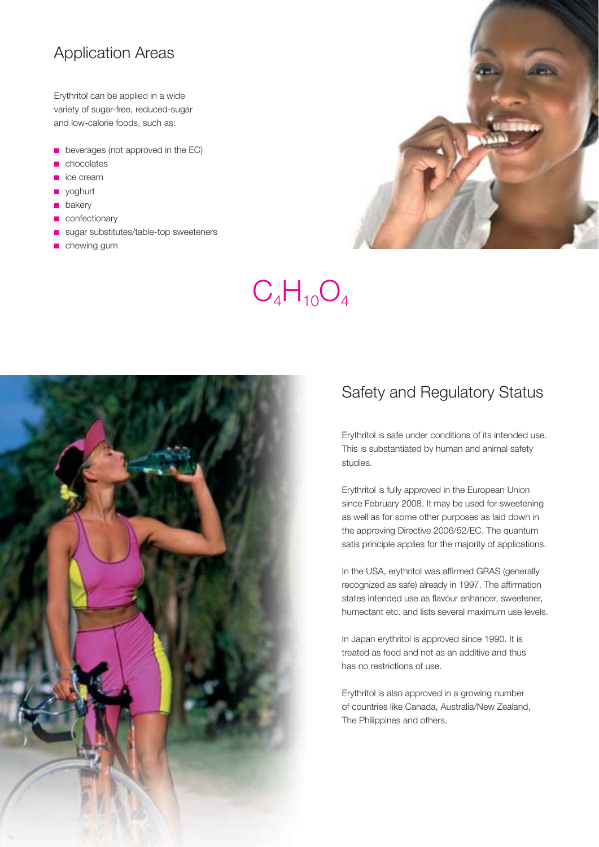## Application Areas

Erythritol can be applied in a wide variety of sugar-free, reduced-sugar and low-calorie foods, such as:

- beverages (not approved in the EC)
- chocolates
- ice cream
- yoghurt
- bakery
- confectionary
- sugar substitutes/table-top sweeteners
- chewing gum



# $C_4H_{10}O_4$



## Safety and Regulatory Status

Erythritol is safe under conditions of its intended use. This is substantiated by human and animal safety studies.

Erythritol is fully approved in the European Union since February 2008. It may be used for sweetening as well as for some other purposes as laid down in the approving Directive 2006/52/EC. The quantum satis principle applies for the majority of applications.

In the USA, erythritol was affirmed GRAS (generally recognized as safe) already in 1997. The affirmation states intended use as flavour enhancer, sweetener, humectant etc. and lists several maximum use levels.

In Japan erythritol is approved since 1990. It is treated as food and not as an additive and thus has no restrictions of use.

Erythritol is also approved in a growing number of countries like Canada, Australia/New Zealand, The Philippines and others.